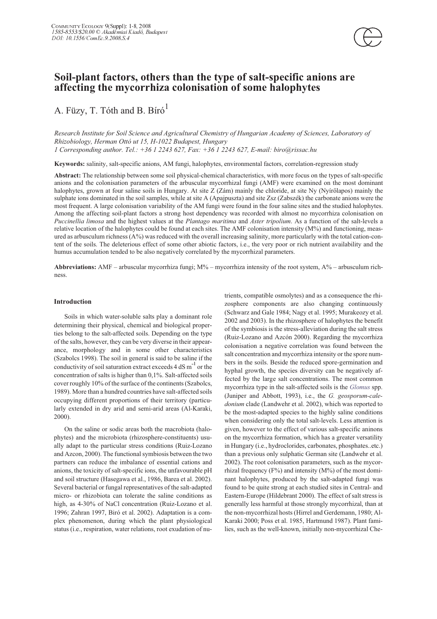

A. Füzy, T. Tóth and B. Bíró $^1$ 

*Research Institute for Soil Science and Agricultural Chemistry of Hungarian Academy of Sciences, Laboratory of Rhizobiology, Herman Ottó ut 15, H-1022 Budapest, Hungary 1 Corresponding author. Tel.: +36 1 2243 627, Fax: +36 1 2243 627, E-mail: biro@rissac.hu*

**Keywords:** salinity, salt-specific anions, AM fungi, halophytes, environmental factors, correlation-regression study

**affecting the mycorrhiza colonisation of some halophytes**

**Abstract:** The relationship between some soil physical-chemical characteristics, with more focus on the types of salt-specific anions and the colonisation parameters of the arbuscular mycorrhizal fungi (AMF) were examined on the most dominant halophytes, grown at four saline soils in Hungary. At site Z (Zám) mainly the chloride, at site Ny (Nyírõlapos) mainly the sulphate ions dominated in the soil samples, while at site A (Apajpuszta) and site Zsz (Zabszék) the carbonate anions were the most frequent. A large colonisation variability of the AM fungi were found in the four saline sites and the studied halophytes. Among the affecting soil-plant factors a strong host dependency was recorded with almost no mycorrhiza colonisation on *Puccinellia limosa* and the highest values at the *Plantago maritima* and *Aster tripolium*. As a function of the salt-levels a relative location of the halophytes could be found at each sites. The AMF colonisation intensity  $(M\%)$  and functioning, measured as arbusculum richness (A%) was reduced with the overall increasing salinity, more particularly with the total cation-content of the soils. The deleterious effect of some other abiotic factors, i.e., the very poor or rich nutrient availability and the humus accumulation tended to be also negatively correlated by the mycorrhizal parameters.

**Abbreviations:** AMF – arbuscular mycorrhiza fungi; M% – mycorrhiza intensity of the root system, A% – arbusculum richness.

# **Introduction**

Soils in which water-soluble salts play a dominant role determining their physical, chemical and biological properties belong to the salt-affected soils. Depending on the type of the salts, however, they can be very diverse in their appearance, morphology and in some other characteristics (Szabolcs 1998). The soil in general is said to be saline if the conductivity of soil saturation extract exceeds  $4 dS m<sup>-1</sup>$  or the concentration of salts is higher than 0,1%. Salt-affected soils cover roughly 10% of the surface of the continents (Szabolcs, 1989). More than a hundred countries have salt-affected soils occupying different proportions of their territory (particularly extended in dry arid and semi-arid areas (Al-Karaki, 2000).

On the saline or sodic areas both the macrobiota (halophytes) and the microbiota (rhizosphere-constituents) usually adapt to the particular stress conditions (Ruiz-Lozano and Azcon, 2000). The functional symbiosis between the two partners can reduce the imbalance of essential cations and anions, the toxicity of salt-specific ions, the unfavourable pH and soil structure (Hasegawa et al., 1986, Barea et al. 2002). Several bacterial or fungal representatives of the salt-adapted micro- or rhizobiota can tolerate the saline conditions as high, as 4-30% of NaCl concentration (Ruiz-Lozano et al. 1996; Zahran 1997, Biró et al. 2002). Adaptation is a complex phenomenon, during which the plant physiological status (i.e., respiration, water relations, root exudation of nutrients, compatible osmolytes) and as a consequence the rhizosphere components are also changing continuously (Schwarz and Gale 1984; Nagy et al. 1995; Murakeozy et al. 2002 and 2003). In the rhizosphere of halophytes the benefit of the symbiosis is the stress-alleviation during the salt stress (Ruiz-Lozano and Azcón 2000). Regarding the mycorrhiza colonisation a negative correlation was found between the salt concentration and mycorrhiza intensity or the spore numbers in the soils. Beside the reduced spore-germination and hyphal growth, the species diversity can be negatively affected by the large salt concentrations. The most common mycorrhiza type in the salt-affected soils is the *Glomus* spp. (Juniper and Abbott, 1993), i.e., the *G. geosporum-caledonium* clade (Landwehr et al. 2002), which was reported to be the most-adapted species to the highly saline conditions when considering only the total salt-levels. Less attention is given, however to the effect of various salt-specific aninons on the mycorrhiza formation, which has a greater versatility in Hungary (i.e., hydroclorides, carbonates, phosphates..etc.) than a previous only sulphatic German site (Landwehr et al. 2002). The root colonisation parameters, such as the mycorrhizal frequency  $(F%)$  and intensity  $(M%)$  of the most dominant halophytes, produced by the salt-adapted fungi was found to be quite strong at each studied sites in Central- and Eastern-Europe (Hildebrant 2000). The effect of salt stress is generally less harmful at those strongly mycorrhizal, than at the non-mycorrhizal hosts (Hirrel and Gerdemann, 1980; Al-Karaki 2000; Poss et al. 1985, Hartmund 1987). Plant families, such as the well-known, initially non-mycorrhizal Che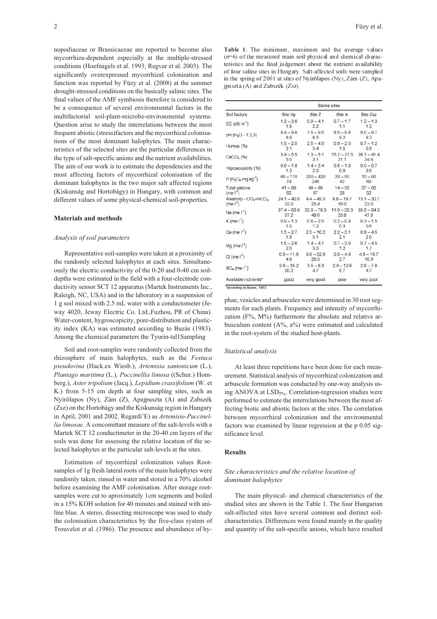nopodiaceae or Brassicaceae are reported to become also mycorrhiza-dependent especially at the multiple-stressed conditions (Hoefnagels et al. 1993; Regvar et al. 2003). The significantly overexpressed mycorrhizal colonisation and function was reported by Füzy et al. (2008) at the summer drought-stressed conditions on the basically salinic sites. The final values of the AMF symbiosis therefore is considered to be a consequence of several environmental factors in the multifactorial soil-plant-microbe-environmental systems. Question arise to study the interrelations between the most frequent abiotic (stress)factors and the mycorrhizal colonisations of the most dominant halophytes. The main characteristics of the selected sites are the particular differences in the type of salt-specific anions and the nutrient availabilities. The aim of our work is to estimate the dependencies and the most affecting factors of mycorrhizal colonisation of the dominant halophytes in the two major salt affected regions (Kiskunság and Hortobágy) in Hungary, with common and different values of some physical-chemical soil-properties.

### **Materials and methods**

## *Analysis of soil parameters*

Representative soil-samples were taken at a proximity of the randomly selected halophytes at each sites. Simultaneously the electric conductivity of the 0-20 and 0-40 cm soildepths were estimated in the field with a four-electrode conductivity sensor SCT 12 apparatus (Martek Instruments Inc., Raleigh, NC, USA) and in the laboratory in a suspension of 1 g soil mixed with 2.5 mL water with a conductometer (Jeway 4020, Jeway Electric Co. Ltd.,Fuzhou, PR of China). Water-content, hygroscopicity, pore-distribution and plasticity index (KA) was estimated according to Buzás (1983). Among the chemical parameters the Tyurin-tal1Sampling

Soil and root-samples were randomly collected from the rhizosphere of main halophytes, such as the *Festuca pseudovina* (Hack.ex Wiesb.), *Artemisia santonicum* (L.), *Plantago maritima* (L.)*, Puccinellia limosa* ((Schur.) Homberg.), *Aster tripolium* (Jacq.), *Lepidium crassifolium* (W. et K.) from 5-15 cm depth at four sampling sites, such as Nyírõlapos (Ny), Zám (Z), Apajpuszta (A) and Zabszék (Zsz) on the Hortobágy and the Kiskunság region in Hungary in April, 2001 and 2002. Regardi'E) as *Artemisio-Puccinellia limosae.* A concomittant measure of the salt-levels with a Martek SCT 12 conductimeter in the 20-40 cm layers of the soils was done for assessing the relative location of the selected halophytes at the particular salt-levels at the sites.

Estimation of mycorrhizal colonization values Rootsamples of 1g fresh lateral roots of the main halophytes were randomly taken, rinsed in water and stored in a 70% alcohol before examining the AMF colonisation. After storage rootsamples were cut to aproximately 1cm segments and boiled in a 15% KOH solution for 40 minutes and stained with aniline blue. A stereo, dissecting microscope was used to study the colonisation characteristics by the five-class system of Trouvelot et al. (1986). The presence and abundance of hy-

Table 1. The minimum, maximum and the average values  $(n=6)$  of the measured main soil physical and chemical characteristics and the final judgement about the nutrient availability of four saline sites in Hungary Salt-affected soils were sampled in the spring of 2001 at sites of Nyírőlapos (Ny), Zám  $(Z)$ , Apajpuszta (A) and Zabszék (Zsz).

| Soil factors                                   | Saline sites  |               |               |               |
|------------------------------------------------|---------------|---------------|---------------|---------------|
|                                                | Site Ny       | Site Z        | Site A        | Site Zsz      |
| $EC$ (dS m <sup>-1</sup> )                     | $1.2 - 3.6$   | $0.9 - 4.1$   | $0.7 - 1.7$   | $1.2 - 1.3$   |
|                                                | 1.9           | 22            | 1.1           | 1.2           |
| pH (H <sub>2</sub> O - 1:2,5)                  | $8.4 - 9.8$   | $7.5 - 9.5$   | $8.5 - 9.6$   | $9.0 - 9.7$   |
|                                                | 8.9           | 8.5           | 9.2           | 9.3           |
| Humus (%)                                      | $1.9 - 2.5$   | $25 - 45$     | $0.9 - 2.0$   | $0.7 - 1.2$   |
|                                                | 2.1           | 3.4           | 1.5           | 0.9           |
| $CaCO3$ (%)                                    | $3.4 - 5.5$   | $1.3 - 5.1$   | $15.2 - 27.5$ | $28.1 - 41.4$ |
|                                                | 5.0           | 3.1           | 21.1          | 34.6          |
| Higroscopicity (%)                             | $0.9 - 1.8$   | $1.4 - 2.4$   | $0.6 - 1.0$   | $0.5 - 0.7$   |
|                                                | 1.3           | 2.0           | 0.9           | 0.6           |
| $P(P_2O_5-mg kg')$                             | $60 - 110$    | $200 - 420$   | $20 - 50$     | $10 - 90$     |
|                                                | 74            | 246           | 42            | 69            |
| Total cations                                  | $41 - 88$     | $48 - 90$     | $14 - 39$     | $37 - 66$     |
| $(me \, \Gamma^1)$                             | 62            | 67            | 28            | 52            |
| Alkalinity - CO <sub>3</sub> +HCO <sub>3</sub> | $24.1 - 40.0$ | $4.4 - 49.3$  | $8.8 - 19.7$  | $13.1 - 30.7$ |
| $(me \, \Gamma^1)$                             | 32.0          | 25.4          | 16.0          | 23.0          |
| Na (me $\lceil$ <sup>1</sup> )                 | $37.4 - 83.9$ | $32.0 - 78.3$ | $11.0 - 35.3$ | $33.5 - 64.3$ |
|                                                | 57.2          | 49.6          | 23.8          | 47.8          |
| $K$ (me $\lceil$ <sup>1</sup> )                | $0.9 - 1.3$   | $0.6 - 2.5$   | $0.2 - 0.8$   | $0.3 - 1.5$   |
|                                                | 1.0           | 1.2           | 0.3           | 0.6           |
| Ca (me $\Gamma$ )                              | $1.5 - 2.7$   | $2.5 - 10.2$  | $22 - 31$     | $0.9 - 4.5$   |
|                                                | 1.9           | 5.1           | 2.1           | 2.0           |
| $Mg$ (me $\lceil$ <sup>1</sup> )               | $1.5 - 2.6$   | $1.4 - 4.7$   | $0.7 - 3.0$   | $0.7 - 4.5$   |
|                                                | 2.0           | 3.0           | 1.2           | 1.7           |
| CI (me $\lceil$ <sup>1</sup> )                 | $0.0 - 11.8$  | $9.8 - 52.9$  | $0.0 - 4.9$   | $4.9 - 16.7$  |
|                                                | 4.6           | 28.5          | 2.7           | 10.9          |
| $SO_4$ (me $1'$ )                              | $3.6 - 35.2$  | $3.5 - 6.3$   | $2.4 - 12.8$  | $2.6 - 7.8$   |
|                                                | 20.2          | 4.7           | 5.7           | 4.7           |
| Available nutrients*                           | good          | very good     | poor          | very poor     |

\*according to Buzás, 1983

phae, vesicles and arbuscules were determined in 30 root segments for each plants. Frequency and intensity of mycorrhization  $(F%, M%)$  furthermore the absolute and relative arbusculum content (A%, a%) were estimated and calculated in the root-system of the studied host-plants.

#### *Statistical analysis*

At least three repetitions have been done for each measurement. Statistical analysis of mycorrhizal colonization and arbuscule formation was conducted by one-way analysis using ANOVA at LSD<sub>5%</sub>. Correlation-regression studies were performed to estimate the interrelations between the most affecting biotic and abiotic factors at the sites. The correlation between mycorrhizal colonization and the environmental factors was examined by linear regression at the p 0.05 significance level.

## **Results**

# *Site characteristics and the relative location of dominant halophytes*

The main physical- and chemical characteristics of the studied sites are shown in the Table 1. The four Hungarian salt-affected sites have several common and distinct soilcharacteristics. Differences were found mainly in the quality and quantity of the salt-specific anions, which have resulted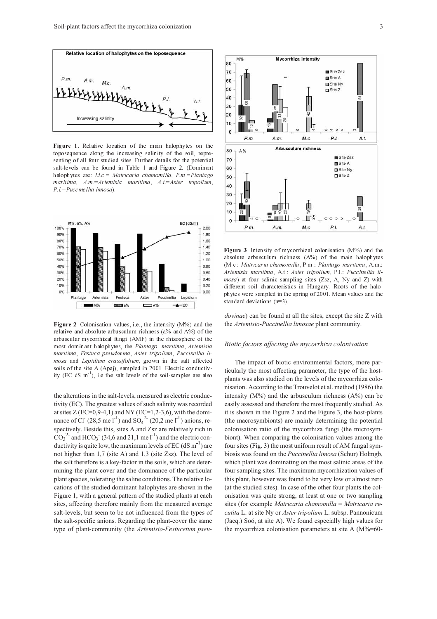

Figure 1. Relative location of the main halophytes on the toposequence along the increasing salinity of the soil, representing of all four studied sites Further details for the potential salt-levels can be found in Table 1 and Figure 2 (Dominant halophytes are  $M.c = Matricaria chamomilla, P.m = Plantago$ maritima, A.m=Artemisia maritima, A.t=Aster tripolium, P.I. = Puccine llia limosa).



Figure 2. Colonisation values, i.e., the intensity (M%) and the relative and absolute arbusculum richness (a% and A%) of the arbuscular mycorrhizal fungi (AMF) in the rhizosphere of the most dominant halophytes, the Plantago, maritima, Artemisia maritima, Festuca pseudovina, Aster tripolium, Puccinellia limosa and Lepidium crassifolium, grown in the salt affected soils of the site A (Apaj), sampled in 2001 Electric conductiv- $\frac{1}{2}$  (EC dS m<sup>-1</sup>), i.e the salt levels of the soil-samples are also

the alterations in the salt-levels, measured as electric conductivity (EC). The greatest values of such salinity was recorded at sites  $Z$  (EC=0,9-4,1) and NY (EC=1,2-3,6), with the dominance of Cl (28,5 me l<sup>-1</sup>) and SO<sub>4</sub><sup>2</sup> (20,2 me l<sup>-1</sup>) anions, respectively. Beside this, sites A and Zsz are relatively rich in  $\cos^2$  and HCO<sub>3</sub> (34,6 and 21,1 me l<sup>-1</sup>) and the electric conductivity is quite low, the maximum levels of  $EC$  (dS m<sup>-1</sup>) are not higher than 1,7 (site A) and 1,3 (site Zsz). The level of the salt therefore is a key-factor in the soils, which are determining the plant cover and the dominance of the particular plant species, tolerating the saline conditions. The relative locations of the studied dominant halophytes are shown in the Figure 1, with a general pattern of the studied plants at each sites, affecting therefore mainly from the measured average salt-levels, but seem to be not influenced from the types of the salt-specific anions. Regarding the plant-cover the same type of plant-community (the *Artemisio-Festucetum pseu-*



Figure 3 Intensity of mycorrhizal colonisation (M%) and the absolute arbusculum richness  $(A\%)$  of the main halophytes (M.c.: Matricaria chamomilla, P.m.: Plantago maritima, A.m.: Artemisia maritima, A.t. Aster tripolium, P.1. Puccinellia li $mosa$ ) at four salinic sampling sites (Zsz, A, Ny and Z) with different soil characteristics in Hungary Roots of the halophytes were sampled in the spring of 2001. Mean values and the standard deviations  $(n=3)$ .

*dovinae*) can be found at all the sites, except the site Z with the *Artemisio-Puccinellia limosae* plant community.

#### *Biotic factors affecting the mycorrhiza colonisation*

The impact of biotic environmental factors, more particularly the most affecting parameter, the type of the hostplants was also studied on the levels of the mycorrhiza colonisation. According to the Trouvelot et al. method (1986) the intensity  $(M\%)$  and the arbusculum richness  $(A\%)$  can be easily assessed and therefore the most frequently studied. As it is shown in the Figure 2 and the Figure 3, the host-plants (the macrosymbionts) are mainly determining the potential colonisation ratio of the mycorrhiza fungi (the microsymbiont). When comparing the colonisation values among the four sites (Fig. 3) the most uniform result of AM fungal symbiosis was found on the *Puccinellia limosa* (Schur) Holmgb, which plant was dominating on the most salinic areas of the four sampling sites. The maximum mycorrhization values of this plant, however was found to be very low or almost zero (at the studied sites). In case of the other four plants the colonisation was quite strong, at least at one or two sampling sites (for example *Matricaria chamomilla* = *Matricaria recutita* L. at site Ny or *Aster tripolium* L. subsp. Pannonicum (Jacq.) Soó, at site A). We found especially high values for the mycorrhiza colonisation parameters at site A (M%=60-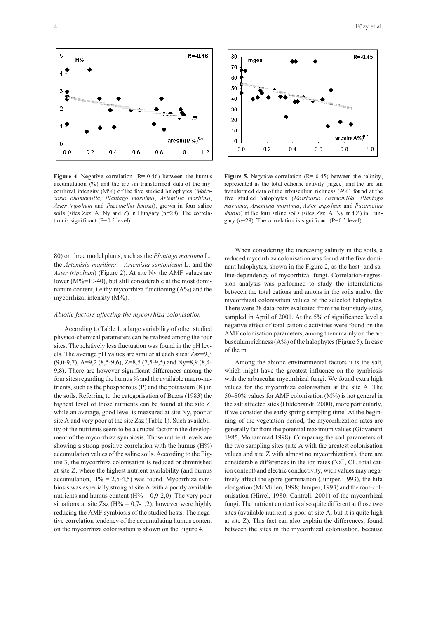

**Figure 4**. Negative correlation  $(R = 0.46)$  between the humus accumulation (%) and the arc-sin transformed data of the mycorrhizal intensity (M%) of the five studied halophytes (Matricaria chamomilla, Plantago maritima, Artemisia maritima, Aster tripolium and Puccinellia limosa), grown in four saline soils (sites Zsz, A, Ny and Z) in Hungary (n=28). The correlation is significant  $(P=0.5$  level).

80) on three model plants, such as the *Plantago maritima* L., the *Artemisia maritima* = *Artemisia santonicum* L. and the *Aster tripolium*) (Figure 2). At site Ny the AMF values are lower (M%=10-40), but still considerable at the most dominanum content, i.e thy mycorrhiza functioning (A%) and the mycorrhizal intensity (M%).

#### *Abiotic factors affecting the mycorrhiza colonisation*

According to Table 1, a large variability of other studied physico-chemical parameters can be realised among the four sites. The relatively less fluctuation was found in the pH levels. The average pH values are similar at each sites: Zsz=9,3 (9,0-9,7), A=9,2 (8,5-9,6), Z=8,5 (7,5-9,5) and Ny=8,9 (8,4- 9,8). There are however significant differences among the four sites regarding the humus % and the available macro-nutrients, such as the phosphorous (P) and the potassium (K) in the soils. Referring to the categorisation of Buzas (1983) the highest level of those nutrients can be found at the site Z, while an average, good level is measured at site Ny, poor at site A and very poor at the site Zsz (Table 1). Such availability of the nutrients seem to be a crucial factor in the development of the mycorrhiza symbiosis. Those nutrient levels are showing a strong positive correlation with the humus (H%) accumulation values of the saline soils. According to the Figure 3, the mycorrhiza colonisation is reduced or diminished at site Z, where the highest nutrient availability (and humus accumulation,  $H% = 2,5-4,5$ ) was found. Mycorrhiza symbiosis was especially strong at site A with a poorly available nutrients and humus content ( $H% = 0.9-2.0$ ). The very poor situations at site Zsz ( $H% = 0.7$ -1,2), however were highly reducing the AMF symbiosis of the studied hosts. The negative correlation tendency of the accumulating humus content on the mycorrhiza colonisation is shown on the Figure 4.



Figure 5. Negative correlation  $(R = 0.45)$  between the salinity, represented as the total cationic activity (mgee) and the arc-sin transformed data of the arbusculum richness  $(A\%)$  found at the five studied halophytes (Matricaria chamomilla, Plantago maritima, Artemisia maritima, Aster tripolium and Puccinellia  $\lim$ osa) at the four saline soils (sites Zsz, A, Ny and Z) in Hungary  $(n=28)$ . The correlation is significant (P=0.5 level).

When considering the increasing salinity in the soils, a reduced mycorrhiza colonisation was found at the five dominant halophytes, shown in the Figure 2, as the host- and saline-dependency of mycorrhizal fungi. Correlation-regression analysis was performed to study the interrelations between the total cations and anions in the soils and/or the mycorrhizal colonisation values of the selected halophytes. There were 28 data-pairs evaluated from the four study-sites, sampled in April of 2001. At the 5% of significance level a negative effect of total cationic activities were found on the AMF colonisation parameters, among them mainly on the arbusculum richness (A%) of the halophytes (Figure 5). In case of the m

Among the abiotic environmental factors it is the salt, which might have the greatest influence on the symbiosis with the arbuscular mycorrhizal fungi. We found extra high values for the mycorrhiza colonisation at the site A. The 50–80% values for AMF colonisation (M%) is not general in the salt affected sites (Hildebrandt, 2000), more particularly, if we consider the early spring sampling time. At the beginning of the vegetation period, the mycorrhization rates are generally far from the potential maximum values (Giovanetti 1985, Mohammad 1998). Comparing the soil parameters of the two sampling sites (site A with the greatest colonisation values and site Z with almost no mycorrhization), there are considerable differences in the ion rates  $(Na^+, Cl)$ , total cation content) and electric conductivity, wich values may negatively affect the spore germination (Juniper, 1993), the hifa elongation (McMillen, 1998; Juniper, 1993) and the root-colonisation (Hirrel, 1980; Cantrell, 2001) of the mycorrhizal fungi. The nutrient content is also quite different at those two sites (available nutrient is poor at site A, but it is quite high at site Z). This fact can also explain the differences, found between the sites in the mycorrhizal colonisation, because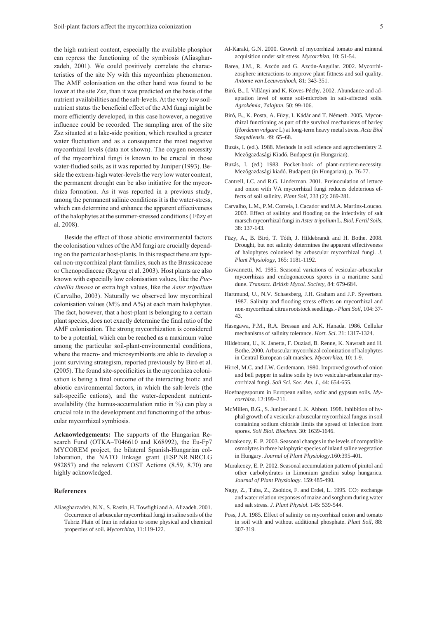the high nutrient content, especially the available phosphor can repress the functioning of the symbiosis (Aliasgharzadeh, 2001). We could positively correlate the characteristics of the site Ny with this mycorrhiza phenomenon. The AMF colonisation on the other hand was found to be lower at the site Zsz, than it was predicted on the basis of the nutrient availabilities and the salt-levels. At the very low soilnutrient status the beneficial effect of the AM fungi might be more efficiently developed, in this case however, a negative influence could be recorded. The sampling area of the site Zsz situated at a lake-side position, which resulted a greater water fluctuation and as a consequence the most negative mycorrhizal levels (data not shown). The oxygen necessity of the mycorrhizal fungi is known to be crucial in those water-fludied soils, as it was reported by Juniper (1993). Beside the extrem-high water-levels the very low water content, the permanent drought can be also initiative for the mycorrhiza formation. As it was reported in a previous study, among the permanent salinic conditions it is the water-stress, which can determine and enhance the apparent effectiveness of the halophytes at the summer-stressed conditions ( Füzy et al. 2008).

Beside the effect of those abiotic environmental factors the colonisation values of the AM fungi are crucially depending on the particular host-plants. In this respect there are typical non-mycorrhizal plant-families, such as the Brassicaceae or Chenopodiaceae (Regvar et al. 2003). Host plants are also known with especially low colonisation values, like the *Puccinellia limosa* or extra high values, like the *Aster tripolium* (Carvalho, 2003). Naturally we observed low mycorrhizal colonisation values (M% and A%) at each main halophytes. The fact, however, that a host-plant is belonging to a certain plant species, does not exactly determine the final ratio of the AMF colonisation. The strong mycorrhization is considered to be a potential, which can be reached as a maximum value among the particular soil-plant-environmental conditions, where the macro- and microsymbionts are able to develop a joint surviving strategism, reported previously by Biró et al. (2005). The found site-specificities in the mycorrhiza colonisation is being a final outcome of the interacting biotic and abiotic environmental factors, in which the salt-levels (the salt-specific cations), and the water-dependent nutrientavailability (the humus-accumulation ratio in %) can play a crucial role in the development and functioning of the arbuscular mycorrhizal symbiosis.

**Acknowledgements:** The supports of the Hungarian Research Fund (OTKA–T046610 and K68992), the Eu-Fp7 MYCOREM project, the bilateral Spanish-Hungarian collaboration, the NATO linkage grant (ESP.NR.NRCLG 982857) and the relevant COST Actions (8.59, 8.70) are highly acknowledged.

### **References**

Aliasgharzadeh, N.N., S. Rastin, H. Towfighi and A. Alizadeh. 2001. Occurrence of arbuscular mycorrhizal fungi in saline soils of the Tabriz Plain of Iran in relation to some physical and chemical properties of soil. *Mycorrhiza*, 11:119-122.

- Al-Karaki, G.N. 2000. Growth of mycorrhizal tomato and mineral acquisition under salt stress. *Mycorrhiza*, 10: 51-54.
- Barea, J.M., R. Azcón and G. Azcón-Anguilar. 2002. Mycorrhizosphere interactions to improve plant fittness and soil quality. *Antonie van Leeuwenhoek,* 81: 343-351.
- Biró, B., I. Villányi and K. Köves-Péchy. 2002. Abundance and adaptation level of some soil-microbes in salt-affected soils. *Agrokémia, Talajtan.* 50: 99-106.
- Biró, B., K. Posta, A. Füzy, I. Kádár and T. Németh. 2005. Mycorrhizal functioning as part of the survival mechanisms of barley (*Hordeum vulgare* L) at long-term heavy metal stress. *Acta Biol Szegediensis*. 49: 65–68.
- Buzás, I. (ed.). 1988. Methods in soil science and agrochemistry 2. Mezõgazdasági Kiadó. Budapest (in Hungarian).
- Buzás, I. (ed.) 1983. Pocket-book of plant-nutrient-necessity. Mezõgazdasági kiadó. Budapest (in Hungarian), p. 76-77.
- Cantrell, I.C. and R.G. Linderman. 2001. Preinoculation of lettuce and onion with VA mycorrhizal fungi reduces deleterious effects of soil salinity. *Plant Soil*, 233 (2): 269-281.
- Carvalho, L.M., P.M. Correia, I. Cacador and M.A. Martins-Loucao. 2003. Effect of salinity and flooding on the infectivity of salt marsch mycorrhizal fungi in *Aster tripolium* L. *Biol. Fertil Soils*, 38: 137-143.
- Füzy, A., B. Biró, T. Tóth, J. Hildebrandt and H. Bothe. 2008. Drought, but not salinity determines the apparent effectiveness of halophytes colonised by arbuscular mycorrhizal fungi. *J. Plant Physiology*, 165: 1181-1192.
- Giovannetti, M. 1985. Seasonal variations of vesicular-arbuscular mycorrhizas and endogonaceous spores in a maritime sand dune. *Transact. British Mycol. Society*, 84: 679-684.
- Hartmund, U., N.V. Schaesberg, J.H. Graham and J.P. Syvertsen. 1987. Salinity and flooding stress effects on mycorrhizal and non-mycorrhizal citrus rootstock seedlings.- *Plant Soil*, 104: 37- 43.
- Hasegawa, P.M., R.A. Bressan and A.K. Hanada. 1986. Cellular mechanisms of salinity tolerance. *Hort. Sci*. 21: 1317-1324.
- Hildebrant, U., K. Janetta, F. Ouziad, B. Renne, K. Nawrath and H. Bothe. 2000. Arbuscular mycorrhizal colonization of halophytes in Central European salt marshes. *Mycorrhiza*, 10: 1-9.
- Hirrel, M.C. and J.W. Gerdemann. 1980. Improved growth of onion and bell pepper in saline soils by two vesicular-arbuscular mycorrhizal fungi. *Soil Sci. Soc. Am. J.,* 44: 654-655.
- Hoefnagesporum in European saline, sodic and gypsum soils. *Mycorrhiza*. 12:199–211.
- McMillen, B.G., S. Juniper and L.K. Abbott. 1998. Inhibition of hyphal growth of a vesicular-arbuscular mycorrhizal fungus in soil containing sodium chloride limits the spread of infection from spores. *Soil Biol. Biochem*. 30: 1639-1646.
- Murakeozy, E. P. 2003. Seasonal changes in the levels of compatible osmolytes in three halophytic species of inland saline vegetation in Hungary. *Journal of Plant Physiology.*160:395-401.
- Murakeozy, E. P. 2002. Seasonal accumulation pattern of pinitol and other carbohydrates in Limonium gmelini subsp hungarica. *Journal of Plant Physiology*. 159:485-490.
- Nagy, Z., Tuba, Z., Zsoldos, F. and Erdei, L. 1995. CO<sub>2</sub> exchange and water relation responses of maize and sorghum during water and salt stress. *J. Plant Physiol.* 145: 539-544.
- Poss, J.A. 1985. Effect of salinity on mycorrhizal onion and tomato in soil with and without additional phosphate. *Plant Soil*, 88: 307-319.